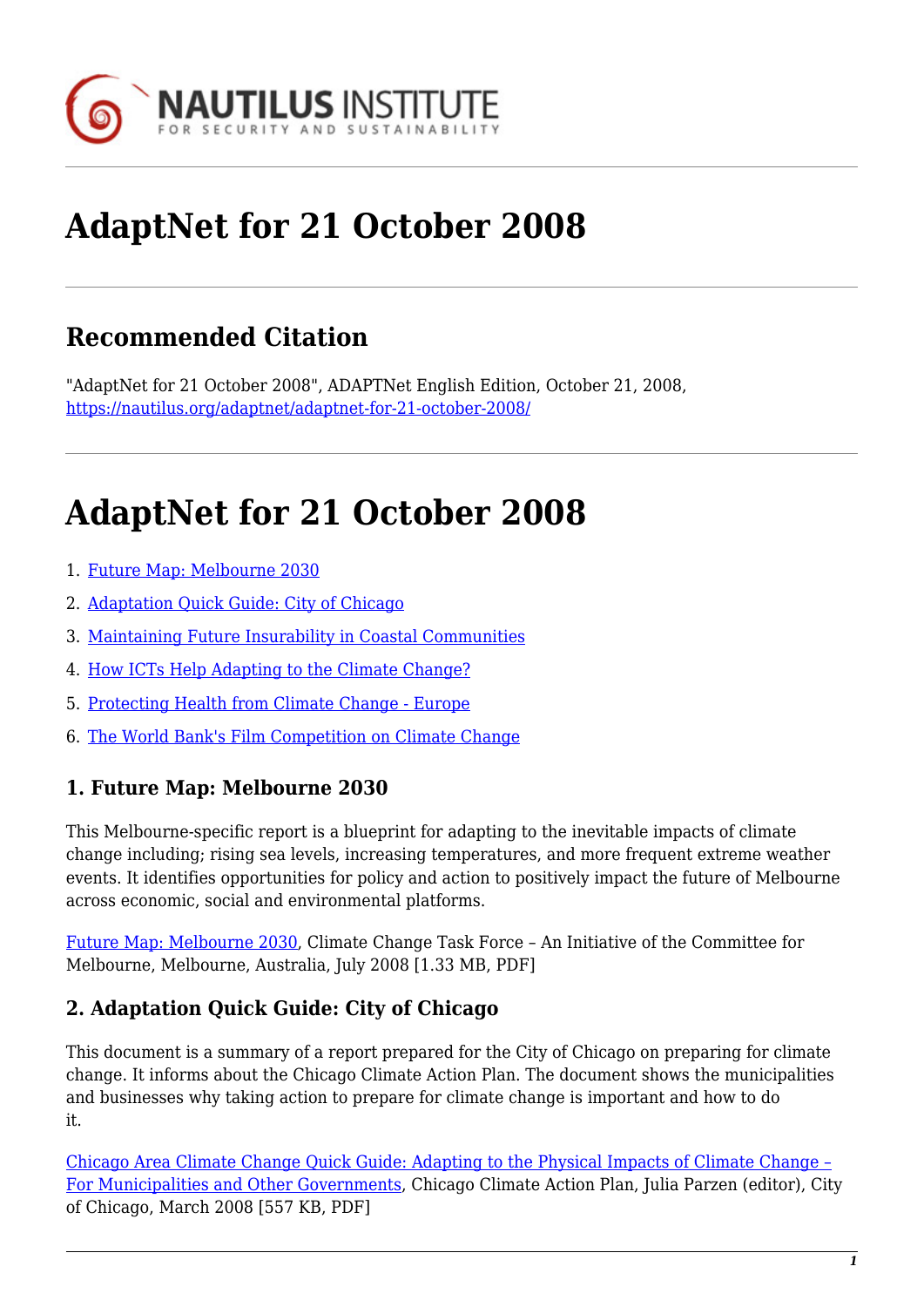

# **AdaptNet for 21 October 2008**

# **Recommended Citation**

"AdaptNet for 21 October 2008", ADAPTNet English Edition, October 21, 2008, <https://nautilus.org/adaptnet/adaptnet-for-21-october-2008/>

# **AdaptNet for 21 October 2008**

- 1. [Future Map: Melbourne 2030](#page-0-0)
- 2. [Adaptation Quick Guide: City of Chicago](#page-0-1)
- 3. [Maintaining Future Insurability in Coastal Communities](#page-0-2)
- 4. [How ICTs Help Adapting to the Climate Change?](#page-1-0)
- 5. [Protecting Health from Climate Change Europe](#page-1-1)
- 6. [The World Bank's Film Competition on Climate Change](#page-1-2)

#### <span id="page-0-0"></span>**1. Future Map: Melbourne 2030**

This Melbourne-specific report is a blueprint for adapting to the inevitable impacts of climate change including; rising sea levels, increasing temperatures, and more frequent extreme weather events. It identifies opportunities for policy and action to positively impact the future of Melbourne across economic, social and environmental platforms.

[Future Map: Melbourne 2030,](http://www.melbourne.org.au/fileadmin/user_upload/file_upoad/CMEL0002_FutureMap_Lo-res.pdf) Climate Change Task Force – An Initiative of the Committee for Melbourne, Melbourne, Australia, July 2008 [1.33 MB, PDF]

#### <span id="page-0-1"></span>**2. Adaptation Quick Guide: City of Chicago**

This document is a summary of a report prepared for the City of Chicago on preparing for climate change. It informs about the Chicago Climate Action Plan. The document shows the municipalities and businesses why taking action to prepare for climate change is important and how to do it.

<span id="page-0-2"></span>[Chicago Area Climate Change Quick Guide: Adapting to the Physical Impacts of Climate Change –](http://www.chicagoclimateaction.org/filebin/pdf/Chicago_Quick_Guide_to_Climate_Change_Preparation_June_2008.pdf) [For Municipalities and Other Governments,](http://www.chicagoclimateaction.org/filebin/pdf/Chicago_Quick_Guide_to_Climate_Change_Preparation_June_2008.pdf) Chicago Climate Action Plan, Julia Parzen (editor), City of Chicago, March 2008 [557 KB, PDF]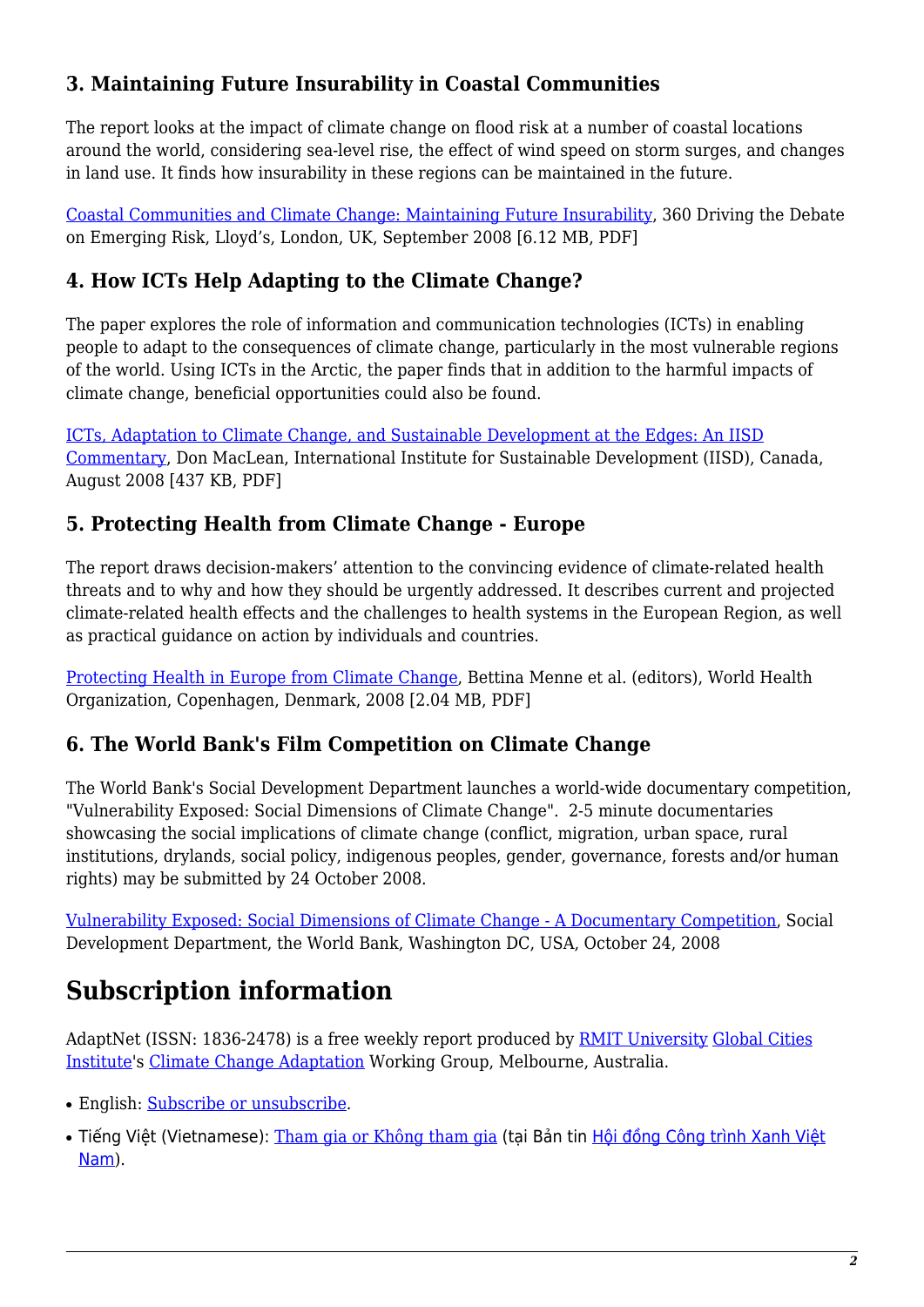### **3. Maintaining Future Insurability in Coastal Communities**

The report looks at the impact of climate change on flood risk at a number of coastal locations around the world, considering sea-level rise, the effect of wind speed on storm surges, and changes in land use. It finds how insurability in these regions can be maintained in the future.

[Coastal Communities and Climate Change: Maintaining Future Insurability,](http://www.lloyds.com/NR/rdonlyres/33811190-E508-4065-BB15-92EF5F3DFD41/0/360_Coastalcommunitiesandclimatechange_final.pdf) 360 Driving the Debate on Emerging Risk, Lloyd's, London, UK, September 2008 [6.12 MB, PDF]

### <span id="page-1-0"></span>**4. How ICTs Help Adapting to the Climate Change?**

The paper explores the role of information and communication technologies (ICTs) in enabling people to adapt to the consequences of climate change, particularly in the most vulnerable regions of the world. Using ICTs in the Arctic, the paper finds that in addition to the harmful impacts of climate change, beneficial opportunities could also be found.

[ICTs, Adaptation to Climate Change, and Sustainable Development at the Edges: An IISD](http://www.iisd.org/pdf/2008/com_ict_climate.pdf) [Commentary](http://www.iisd.org/pdf/2008/com_ict_climate.pdf), Don MacLean, International Institute for Sustainable Development (IISD), Canada, August 2008 [437 KB, PDF]

#### <span id="page-1-1"></span>**5. Protecting Health from Climate Change - Europe**

The report draws decision-makers' attention to the convincing evidence of climate-related health threats and to why and how they should be urgently addressed. It describes current and projected climate-related health effects and the challenges to health systems in the European Region, as well as practical guidance on action by individuals and countries.

[Protecting Health in Europe from Climate Change](http://www.euro.who.int/Document/GCH/Protecting_health.pdf), Bettina Menne et al. (editors), World Health Organization, Copenhagen, Denmark, 2008 [2.04 MB, PDF]

### <span id="page-1-2"></span>**6. The World Bank's Film Competition on Climate Change**

The World Bank's Social Development Department launches a world-wide documentary competition, "Vulnerability Exposed: Social Dimensions of Climate Change". 2-5 minute documentaries showcasing the social implications of climate change (conflict, migration, urban space, rural institutions, drylands, social policy, indigenous peoples, gender, governance, forests and/or human rights) may be submitted by 24 October 2008.

[Vulnerability Exposed: Social Dimensions of Climate Change - A Documentary Competition](http://go.worldbank.org/7492037IG0), Social Development Department, the World Bank, Washington DC, USA, October 24, 2008

## **Subscription information**

AdaptNet (ISSN: 1836-2478) is a free weekly report produced by [RMIT University](http://www.rmit.edu.au/) [Global Cities](http://www.global-cities.info/) [Institute](http://www.global-cities.info/)'s [Climate Change Adaptation](http://nautilus.org/index.html) Working Group, Melbourne, Australia.

- English: [Subscribe or unsubscribe](https://nautilus.org/mailman/listinfo/adaptnet).
- Tiếng Việt (Vietnamese): [Tham gia or Không tham gia](http://vsccan.org/mailman/listinfo/vgbc_bulletin_vsccan.org) (tại Bản tin [Hội đồng Công trình Xanh Việt](http://www.vsccan.org/vgbc/) [Nam](http://www.vsccan.org/vgbc/)).